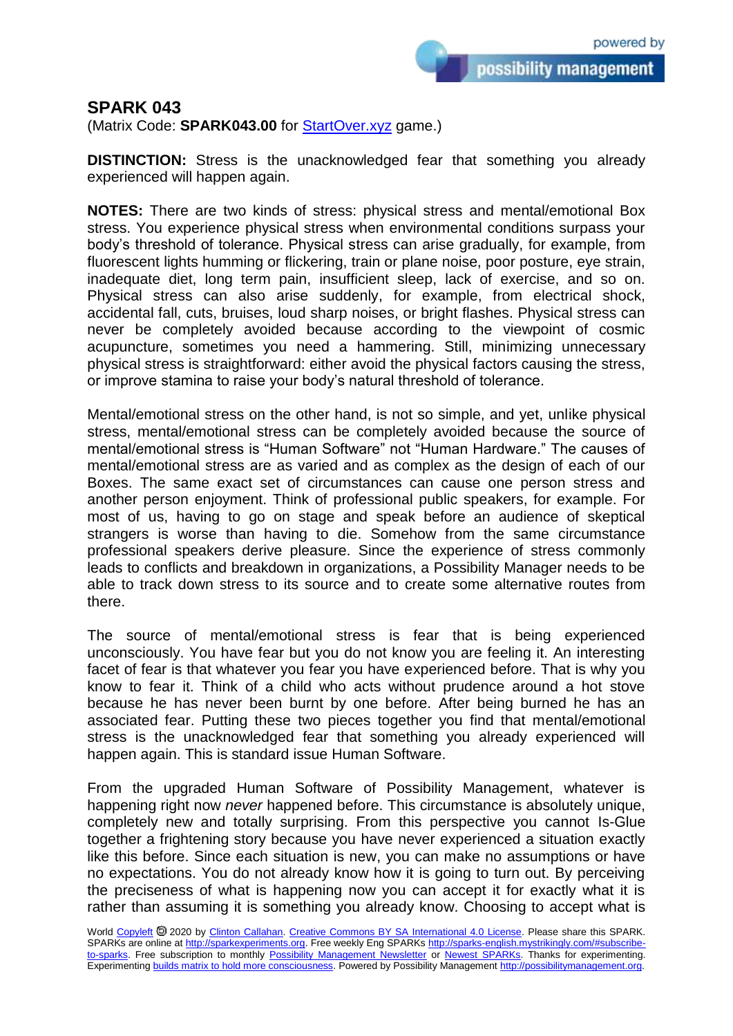possibility management

## **SPARK 043**

(Matrix Code: **SPARK043.00** for **StartOver.xyz** game.)

**DISTINCTION:** Stress is the unacknowledged fear that something you already experienced will happen again.

**NOTES:** There are two kinds of stress: physical stress and mental/emotional Box stress. You experience physical stress when environmental conditions surpass your body's threshold of tolerance. Physical stress can arise gradually, for example, from fluorescent lights humming or flickering, train or plane noise, poor posture, eye strain, inadequate diet, long term pain, insufficient sleep, lack of exercise, and so on. Physical stress can also arise suddenly, for example, from electrical shock, accidental fall, cuts, bruises, loud sharp noises, or bright flashes. Physical stress can never be completely avoided because according to the viewpoint of cosmic acupuncture, sometimes you need a hammering. Still, minimizing unnecessary physical stress is straightforward: either avoid the physical factors causing the stress, or improve stamina to raise your body's natural threshold of tolerance.

Mental/emotional stress on the other hand, is not so simple, and yet, unlike physical stress, mental/emotional stress can be completely avoided because the source of mental/emotional stress is "Human Software" not "Human Hardware." The causes of mental/emotional stress are as varied and as complex as the design of each of our Boxes. The same exact set of circumstances can cause one person stress and another person enjoyment. Think of professional public speakers, for example. For most of us, having to go on stage and speak before an audience of skeptical strangers is worse than having to die. Somehow from the same circumstance professional speakers derive pleasure. Since the experience of stress commonly leads to conflicts and breakdown in organizations, a Possibility Manager needs to be able to track down stress to its source and to create some alternative routes from there.

The source of mental/emotional stress is fear that is being experienced unconsciously. You have fear but you do not know you are feeling it. An interesting facet of fear is that whatever you fear you have experienced before. That is why you know to fear it. Think of a child who acts without prudence around a hot stove because he has never been burnt by one before. After being burned he has an associated fear. Putting these two pieces together you find that mental/emotional stress is the unacknowledged fear that something you already experienced will happen again. This is standard issue Human Software.

From the upgraded Human Software of Possibility Management, whatever is happening right now *never* happened before. This circumstance is absolutely unique, completely new and totally surprising. From this perspective you cannot Is-Glue together a frightening story because you have never experienced a situation exactly like this before. Since each situation is new, you can make no assumptions or have no expectations. You do not already know how it is going to turn out. By perceiving the preciseness of what is happening now you can accept it for exactly what it is rather than assuming it is something you already know. Choosing to accept what is